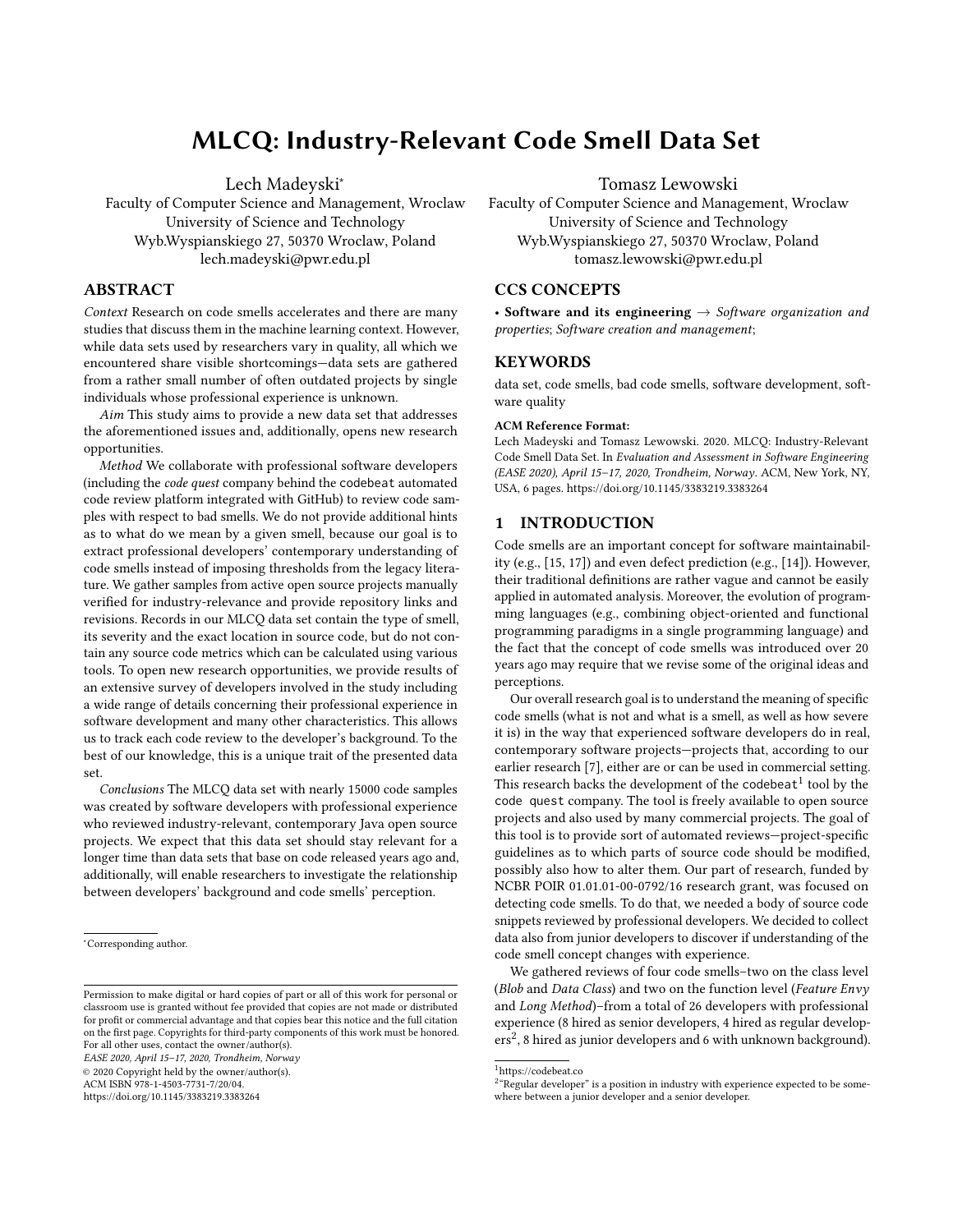# MLCQ: Industry-Relevant Code Smell Data Set

Lech Madeyski<sup>∗</sup>

Faculty of Computer Science and Management, Wroclaw University of Science and Technology Wyb.Wyspianskiego 27, 50370 Wroclaw, Poland lech.madeyski@pwr.edu.pl

# ABSTRACT

Context Research on code smells accelerates and there are many studies that discuss them in the machine learning context. However, while data sets used by researchers vary in quality, all which we encountered share visible shortcomings—data sets are gathered from a rather small number of often outdated projects by single individuals whose professional experience is unknown.

Aim This study aims to provide a new data set that addresses the aforementioned issues and, additionally, opens new research opportunities.

Method We collaborate with professional software developers (including the code quest company behind the codebeat automated code review platform integrated with GitHub) to review code samples with respect to bad smells. We do not provide additional hints as to what do we mean by a given smell, because our goal is to extract professional developers' contemporary understanding of code smells instead of imposing thresholds from the legacy literature. We gather samples from active open source projects manually verified for industry-relevance and provide repository links and revisions. Records in our MLCQ data set contain the type of smell, its severity and the exact location in source code, but do not contain any source code metrics which can be calculated using various tools. To open new research opportunities, we provide results of an extensive survey of developers involved in the study including a wide range of details concerning their professional experience in software development and many other characteristics. This allows us to track each code review to the developer's background. To the best of our knowledge, this is a unique trait of the presented data set.

Conclusions The MLCQ data set with nearly 15000 code samples was created by software developers with professional experience who reviewed industry-relevant, contemporary Java open source projects. We expect that this data set should stay relevant for a longer time than data sets that base on code released years ago and, additionally, will enable researchers to investigate the relationship between developers' background and code smells' perception.

EASE 2020, April 15–17, 2020, Trondheim, Norway

© 2020 Copyright held by the owner/author(s).

ACM ISBN 978-1-4503-7731-7/20/04.

<https://doi.org/10.1145/3383219.3383264>

Tomasz Lewowski

Faculty of Computer Science and Management, Wroclaw University of Science and Technology Wyb.Wyspianskiego 27, 50370 Wroclaw, Poland tomasz.lewowski@pwr.edu.pl

## CCS CONCEPTS

• Software and its engineering  $\rightarrow$  Software organization and properties; Software creation and management;

#### **KEYWORDS**

data set, code smells, bad code smells, software development, software quality

#### ACM Reference Format:

Lech Madeyski and Tomasz Lewowski. 2020. MLCQ: Industry-Relevant Code Smell Data Set. In Evaluation and Assessment in Software Engineering (EASE 2020), April 15–17, 2020, Trondheim, Norway. ACM, New York, NY, USA, 6 pages.<https://doi.org/10.1145/3383219.3383264>

## 1 INTRODUCTION

Code smells are an important concept for software maintainability (e.g., [15, 17]) and even defect prediction (e.g., [14]). However, their traditional definitions are rather vague and cannot be easily applied in automated analysis. Moreover, the evolution of programming languages (e.g., combining object-oriented and functional programming paradigms in a single programming language) and the fact that the concept of code smells was introduced over 20 years ago may require that we revise some of the original ideas and perceptions.

Our overall research goal is to understand the meaning of specific code smells (what is not and what is a smell, as well as how severe it is) in the way that experienced software developers do in real, contemporary software projects—projects that, according to our earlier research [7], either are or can be used in commercial setting. This research backs the development of the codebeat<sup>1</sup> tool by the code quest company. The tool is freely available to open source projects and also used by many commercial projects. The goal of this tool is to provide sort of automated reviews—project-specific guidelines as to which parts of source code should be modified, possibly also how to alter them. Our part of research, funded by NCBR POIR 01.01.01-00-0792/16 research grant, was focused on detecting code smells. To do that, we needed a body of source code snippets reviewed by professional developers. We decided to collect data also from junior developers to discover if understanding of the code smell concept changes with experience.

We gathered reviews of four code smells–two on the class level (Blob and Data Class) and two on the function level (Feature Envy and Long Method)–from a total of 26 developers with professional experience (8 hired as senior developers, 4 hired as regular developers<sup>2</sup>, 8 hired as junior developers and 6 with unknown background).

<sup>∗</sup>Corresponding author.

Permission to make digital or hard copies of part or all of this work for personal or classroom use is granted without fee provided that copies are not made or distributed for profit or commercial advantage and that copies bear this notice and the full citation on the first page. Copyrights for third-party components of this work must be honored. For all other uses, contact the owner/author(s).

<sup>1</sup>https://codebeat.co

 $2<sup>a</sup>$  Regular developer" is a position in industry with experience expected to be somewhere between a junior developer and a senior developer.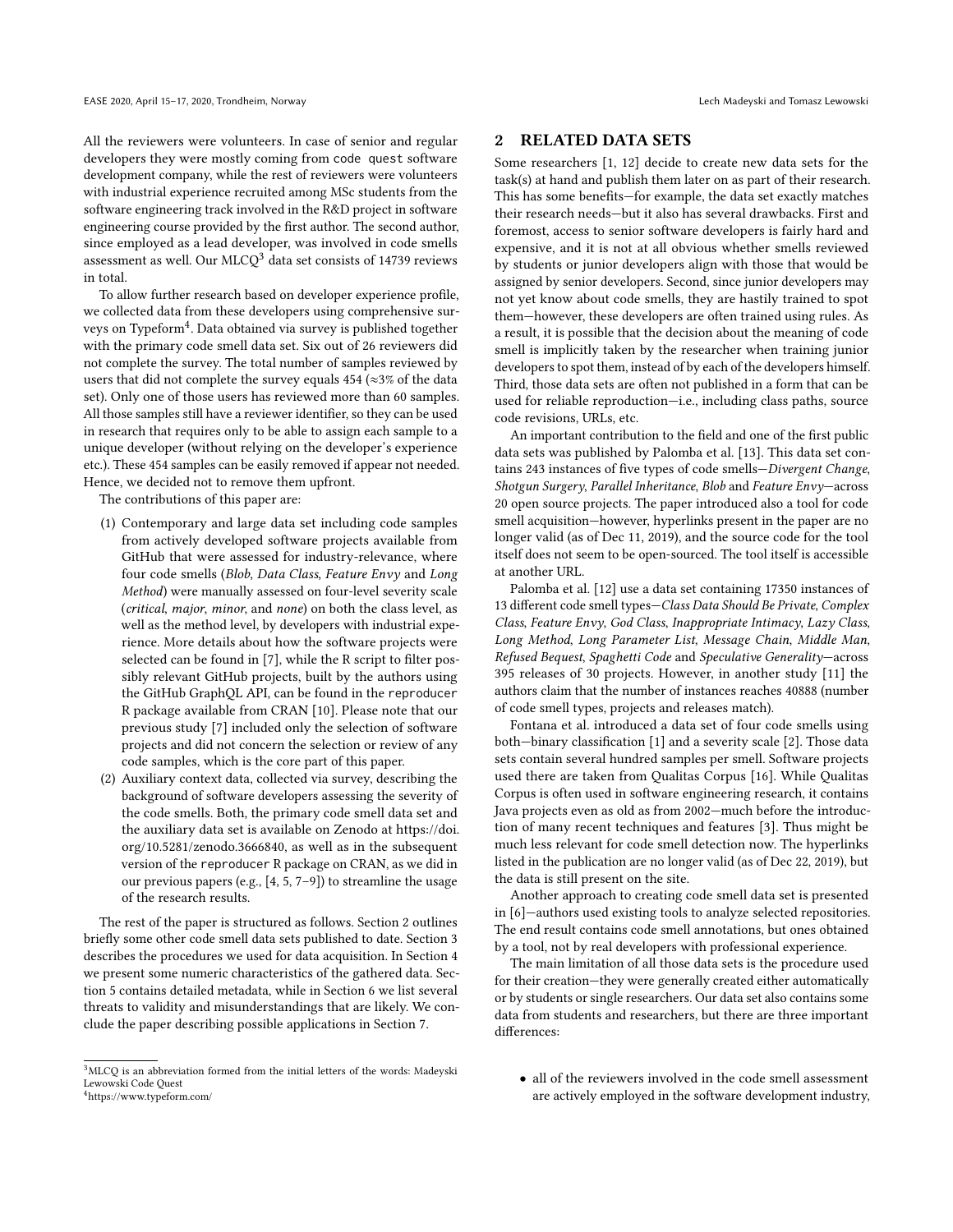All the reviewers were volunteers. In case of senior and regular developers they were mostly coming from code quest software development company, while the rest of reviewers were volunteers with industrial experience recruited among MSc students from the software engineering track involved in the R&D project in software engineering course provided by the first author. The second author, since employed as a lead developer, was involved in code smells assessment as well. Our MLCQ<sup>3</sup> data set consists of 14739 reviews in total.

To allow further research based on developer experience profile, we collected data from these developers using comprehensive surveys on Typeform<sup>4</sup>. Data obtained via survey is published together with the primary code smell data set. Six out of 26 reviewers did not complete the survey. The total number of samples reviewed by users that did not complete the survey equals 454 ( $\approx$ 3% of the data set). Only one of those users has reviewed more than 60 samples. All those samples still have a reviewer identifier, so they can be used in research that requires only to be able to assign each sample to a unique developer (without relying on the developer's experience etc.). These 454 samples can be easily removed if appear not needed. Hence, we decided not to remove them upfront.

The contributions of this paper are:

- (1) Contemporary and large data set including code samples from actively developed software projects available from GitHub that were assessed for industry-relevance, where four code smells (Blob, Data Class, Feature Envy and Long Method) were manually assessed on four-level severity scale (critical, major, minor, and none) on both the class level, as well as the method level, by developers with industrial experience. More details about how the software projects were selected can be found in [7], while the R script to filter possibly relevant GitHub projects, built by the authors using the GitHub GraphQL API, can be found in the reproducer R package available from CRAN [10]. Please note that our previous study [7] included only the selection of software projects and did not concern the selection or review of any code samples, which is the core part of this paper.
- (2) Auxiliary context data, collected via survey, describing the background of software developers assessing the severity of the code smells. Both, the primary code smell data set and the auxiliary data set is available on Zenodo at [https://doi.](https://doi.org/10.5281/zenodo.3666840) [org/10.5281/zenodo.3666840,](https://doi.org/10.5281/zenodo.3666840) as well as in the subsequent version of the reproducer R package on CRAN, as we did in our previous papers (e.g., [4, 5, 7–9]) to streamline the usage of the research results.

The rest of the paper is structured as follows. Section 2 outlines briefly some other code smell data sets published to date. Section 3 describes the procedures we used for data acquisition. In Section 4 we present some numeric characteristics of the gathered data. Section 5 contains detailed metadata, while in Section 6 we list several threats to validity and misunderstandings that are likely. We conclude the paper describing possible applications in Section 7.

## 2 RELATED DATA SETS

Some researchers [1, 12] decide to create new data sets for the task(s) at hand and publish them later on as part of their research. This has some benefits—for example, the data set exactly matches their research needs—but it also has several drawbacks. First and foremost, access to senior software developers is fairly hard and expensive, and it is not at all obvious whether smells reviewed by students or junior developers align with those that would be assigned by senior developers. Second, since junior developers may not yet know about code smells, they are hastily trained to spot them—however, these developers are often trained using rules. As a result, it is possible that the decision about the meaning of code smell is implicitly taken by the researcher when training junior developers to spot them, instead of by each of the developers himself. Third, those data sets are often not published in a form that can be used for reliable reproduction—i.e., including class paths, source code revisions, URLs, etc.

An important contribution to the field and one of the first public data sets was published by Palomba et al. [13]. This data set contains 243 instances of five types of code smells—Divergent Change, Shotgun Surgery, Parallel Inheritance, Blob and Feature Envy—across 20 open source projects. The paper introduced also a tool for code smell acquisition—however, hyperlinks present in the paper are no longer valid (as of Dec 11, 2019), and the source code for the tool itself does not seem to be open-sourced. The tool itself is accessible at another URL.

Palomba et al. [12] use a data set containing 17350 instances of 13 different code smell types-Class Data Should Be Private, Complex Class, Feature Envy, God Class, Inappropriate Intimacy, Lazy Class, Long Method, Long Parameter List, Message Chain, Middle Man, Refused Bequest, Spaghetti Code and Speculative Generality—across 395 releases of 30 projects. However, in another study [11] the authors claim that the number of instances reaches 40888 (number of code smell types, projects and releases match).

Fontana et al. introduced a data set of four code smells using both—binary classification [1] and a severity scale [2]. Those data sets contain several hundred samples per smell. Software projects used there are taken from Qualitas Corpus [16]. While Qualitas Corpus is often used in software engineering research, it contains Java projects even as old as from 2002—much before the introduction of many recent techniques and features [3]. Thus might be much less relevant for code smell detection now. The hyperlinks listed in the publication are no longer valid (as of Dec 22, 2019), but the data is still present on the site.

Another approach to creating code smell data set is presented in [6]—authors used existing tools to analyze selected repositories. The end result contains code smell annotations, but ones obtained by a tool, not by real developers with professional experience.

The main limitation of all those data sets is the procedure used for their creation—they were generally created either automatically or by students or single researchers. Our data set also contains some data from students and researchers, but there are three important differences:

 ${}^{3}\mathrm{MLCQ}$  is an abbreviation formed from the initial letters of the words: Madeyski Lewowski Code Quest <sup>4</sup>https://www.typeform.com/

<sup>•</sup> all of the reviewers involved in the code smell assessment are actively employed in the software development industry,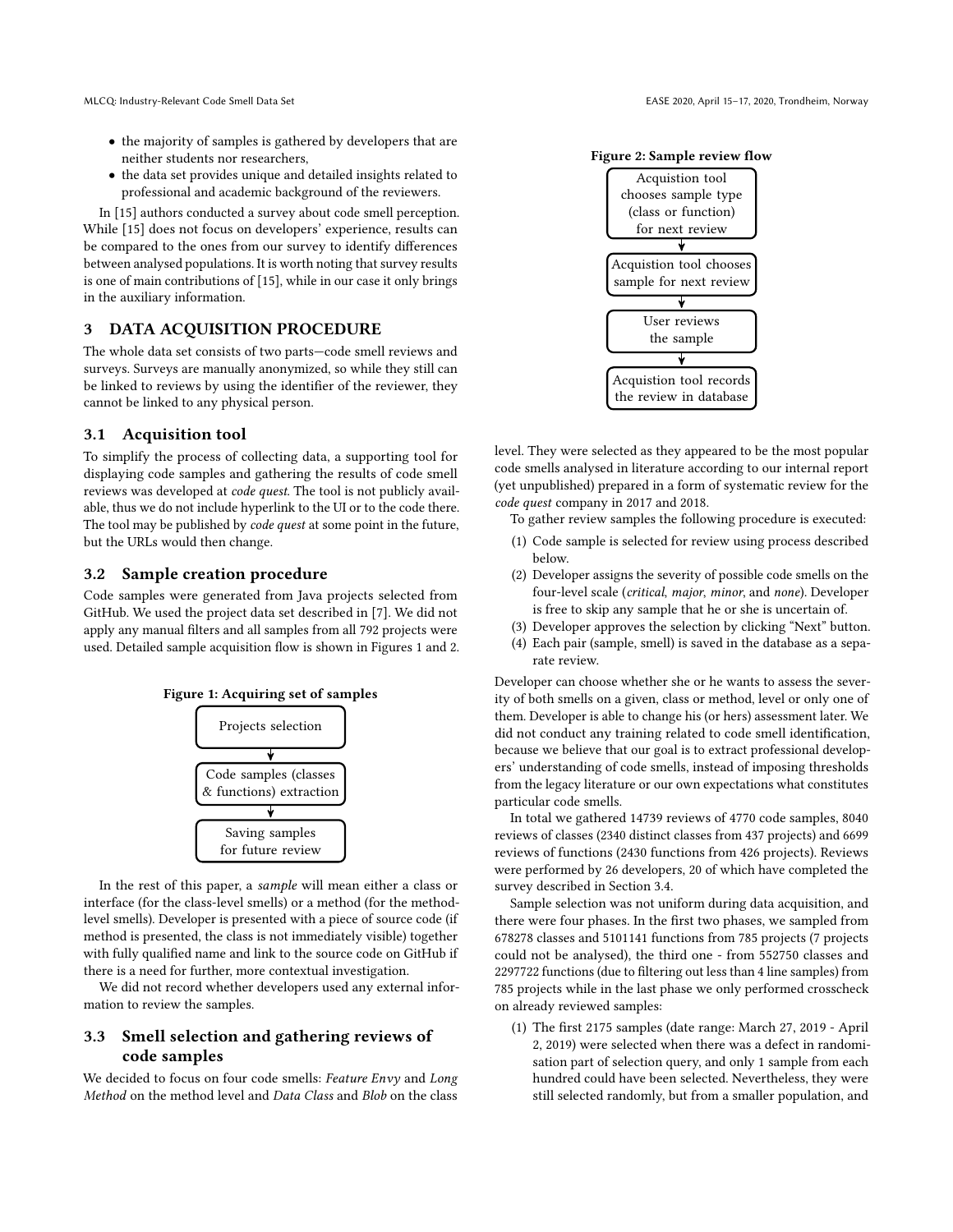- the majority of samples is gathered by developers that are neither students nor researchers,
- the data set provides unique and detailed insights related to professional and academic background of the reviewers.

In [15] authors conducted a survey about code smell perception. While [15] does not focus on developers' experience, results can be compared to the ones from our survey to identify differences between analysed populations. It is worth noting that survey results is one of main contributions of [15], while in our case it only brings in the auxiliary information.

# 3 DATA ACQUISITION PROCEDURE

The whole data set consists of two parts—code smell reviews and surveys. Surveys are manually anonymized, so while they still can be linked to reviews by using the identifier of the reviewer, they cannot be linked to any physical person.

### 3.1 Acquisition tool

To simplify the process of collecting data, a supporting tool for displaying code samples and gathering the results of code smell reviews was developed at code quest. The tool is not publicly available, thus we do not include hyperlink to the UI or to the code there. The tool may be published by *code quest* at some point in the future, but the URLs would then change.

## 3.2 Sample creation procedure

Code samples were generated from Java projects selected from GitHub. We used the project data set described in [7]. We did not apply any manual filters and all samples from all 792 projects were used. Detailed sample acquisition flow is shown in Figures 1 and 2.





In the rest of this paper, a sample will mean either a class or interface (for the class-level smells) or a method (for the methodlevel smells). Developer is presented with a piece of source code (if method is presented, the class is not immediately visible) together with fully qualified name and link to the source code on GitHub if there is a need for further, more contextual investigation.

We did not record whether developers used any external information to review the samples.

# 3.3 Smell selection and gathering reviews of code samples

We decided to focus on four code smells: Feature Envy and Long Method on the method level and Data Class and Blob on the class





level. They were selected as they appeared to be the most popular code smells analysed in literature according to our internal report (yet unpublished) prepared in a form of systematic review for the code quest company in 2017 and 2018.

To gather review samples the following procedure is executed:

- (1) Code sample is selected for review using process described below.
- (2) Developer assigns the severity of possible code smells on the four-level scale (critical, major, minor, and none). Developer is free to skip any sample that he or she is uncertain of.
- (3) Developer approves the selection by clicking "Next" button.
- (4) Each pair (sample, smell) is saved in the database as a separate review.

Developer can choose whether she or he wants to assess the severity of both smells on a given, class or method, level or only one of them. Developer is able to change his (or hers) assessment later. We did not conduct any training related to code smell identification, because we believe that our goal is to extract professional developers' understanding of code smells, instead of imposing thresholds from the legacy literature or our own expectations what constitutes particular code smells.

In total we gathered 14739 reviews of 4770 code samples, 8040 reviews of classes (2340 distinct classes from 437 projects) and 6699 reviews of functions (2430 functions from 426 projects). Reviews were performed by 26 developers, 20 of which have completed the survey described in Section 3.4.

Sample selection was not uniform during data acquisition, and there were four phases. In the first two phases, we sampled from 678278 classes and 5101141 functions from 785 projects (7 projects could not be analysed), the third one - from 552750 classes and 2297722 functions (due to filtering out less than 4 line samples) from 785 projects while in the last phase we only performed crosscheck on already reviewed samples:

(1) The first 2175 samples (date range: March 27, 2019 - April 2, 2019) were selected when there was a defect in randomisation part of selection query, and only 1 sample from each hundred could have been selected. Nevertheless, they were still selected randomly, but from a smaller population, and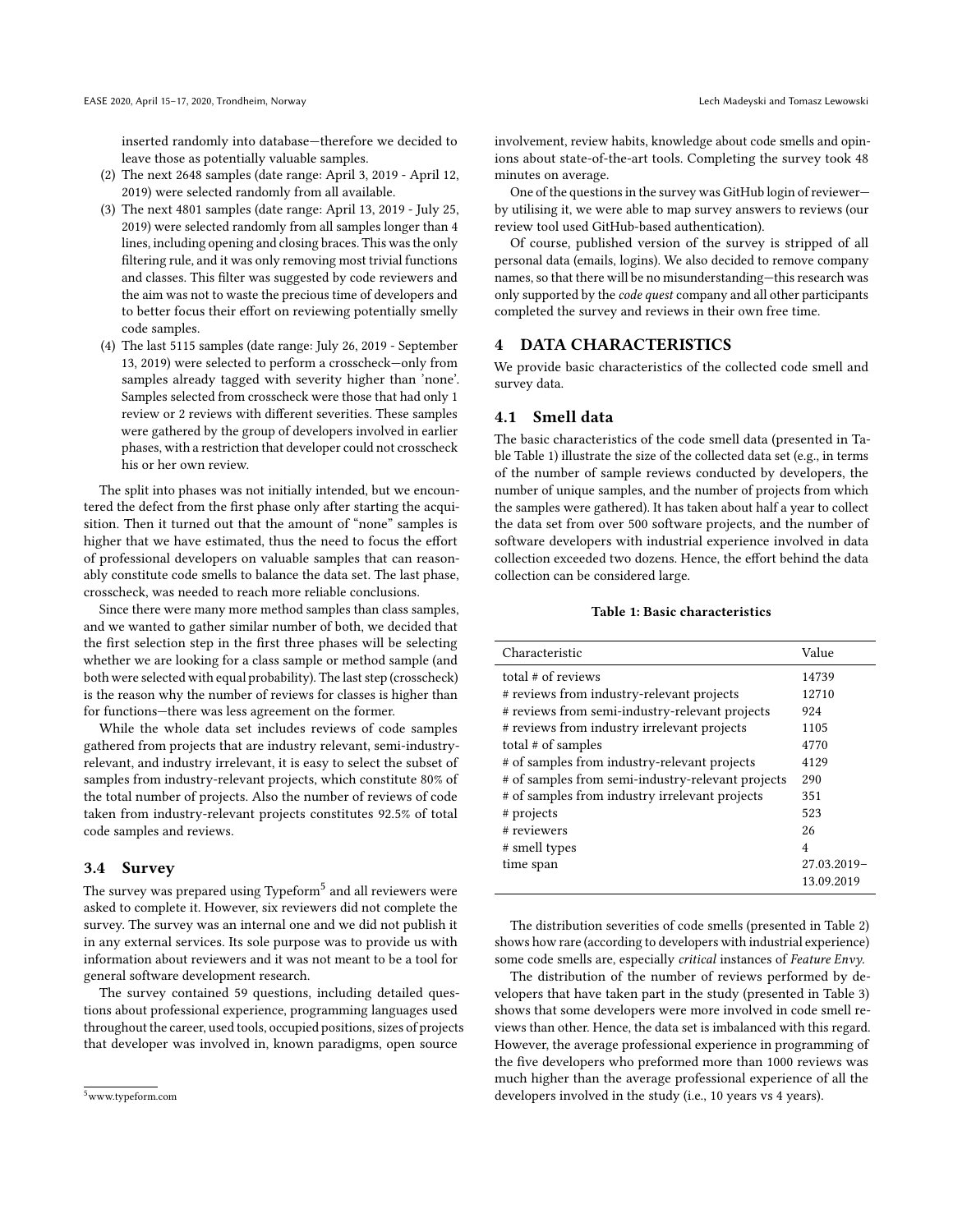inserted randomly into database—therefore we decided to leave those as potentially valuable samples.

- (2) The next 2648 samples (date range: April 3, 2019 April 12, 2019) were selected randomly from all available.
- (3) The next 4801 samples (date range: April 13, 2019 July 25, 2019) were selected randomly from all samples longer than 4 lines, including opening and closing braces. This was the only filtering rule, and it was only removing most trivial functions and classes. This filter was suggested by code reviewers and the aim was not to waste the precious time of developers and to better focus their effort on reviewing potentially smelly code samples.
- (4) The last 5115 samples (date range: July 26, 2019 September 13, 2019) were selected to perform a crosscheck—only from samples already tagged with severity higher than 'none'. Samples selected from crosscheck were those that had only 1 review or 2 reviews with different severities. These samples were gathered by the group of developers involved in earlier phases, with a restriction that developer could not crosscheck his or her own review.

The split into phases was not initially intended, but we encountered the defect from the first phase only after starting the acquisition. Then it turned out that the amount of "none" samples is higher that we have estimated, thus the need to focus the effort of professional developers on valuable samples that can reasonably constitute code smells to balance the data set. The last phase, crosscheck, was needed to reach more reliable conclusions.

Since there were many more method samples than class samples, and we wanted to gather similar number of both, we decided that the first selection step in the first three phases will be selecting whether we are looking for a class sample or method sample (and both were selected with equal probability). The last step (crosscheck) is the reason why the number of reviews for classes is higher than for functions—there was less agreement on the former.

While the whole data set includes reviews of code samples gathered from projects that are industry relevant, semi-industryrelevant, and industry irrelevant, it is easy to select the subset of samples from industry-relevant projects, which constitute 80% of the total number of projects. Also the number of reviews of code taken from industry-relevant projects constitutes 92.5% of total code samples and reviews.

#### 3.4 Survey

The survey was prepared using Typeform $^5$  and all reviewers were asked to complete it. However, six reviewers did not complete the survey. The survey was an internal one and we did not publish it in any external services. Its sole purpose was to provide us with information about reviewers and it was not meant to be a tool for general software development research.

The survey contained 59 questions, including detailed questions about professional experience, programming languages used throughout the career, used tools, occupied positions, sizes of projects that developer was involved in, known paradigms, open source

involvement, review habits, knowledge about code smells and opinions about state-of-the-art tools. Completing the survey took 48 minutes on average.

One of the questions in the survey was GitHub login of reviewer by utilising it, we were able to map survey answers to reviews (our review tool used GitHub-based authentication).

Of course, published version of the survey is stripped of all personal data (emails, logins). We also decided to remove company names, so that there will be no misunderstanding—this research was only supported by the code quest company and all other participants completed the survey and reviews in their own free time.

## DATA CHARACTERISTICS

We provide basic characteristics of the collected code smell and survey data.

#### 4.1 Smell data

The basic characteristics of the code smell data (presented in Table Table 1) illustrate the size of the collected data set (e.g., in terms of the number of sample reviews conducted by developers, the number of unique samples, and the number of projects from which the samples were gathered). It has taken about half a year to collect the data set from over 500 software projects, and the number of software developers with industrial experience involved in data collection exceeded two dozens. Hence, the effort behind the data collection can be considered large.

#### Table 1: Basic characteristics

| Characteristic                                    | Value       |
|---------------------------------------------------|-------------|
| total # of reviews                                | 14739       |
| # reviews from industry-relevant projects         | 12710       |
| # reviews from semi-industry-relevant projects    | 924         |
| # reviews from industry irrelevant projects       | 1105        |
| total # of samples                                | 4770        |
| # of samples from industry-relevant projects      | 4129        |
| # of samples from semi-industry-relevant projects | 290         |
| # of samples from industry irrelevant projects    | 351         |
| # projects                                        | 523         |
| # reviewers                                       | 26          |
| # smell types                                     | 4           |
| time span                                         | 27.03.2019- |
|                                                   | 13.09.2019  |

The distribution severities of code smells (presented in Table 2) shows how rare (according to developers with industrial experience) some code smells are, especially critical instances of Feature Envy.

The distribution of the number of reviews performed by developers that have taken part in the study (presented in Table 3) shows that some developers were more involved in code smell reviews than other. Hence, the data set is imbalanced with this regard. However, the average professional experience in programming of the five developers who preformed more than 1000 reviews was much higher than the average professional experience of all the developers involved in the study (i.e., 10 years vs 4 years).

<sup>5</sup>www.typeform.com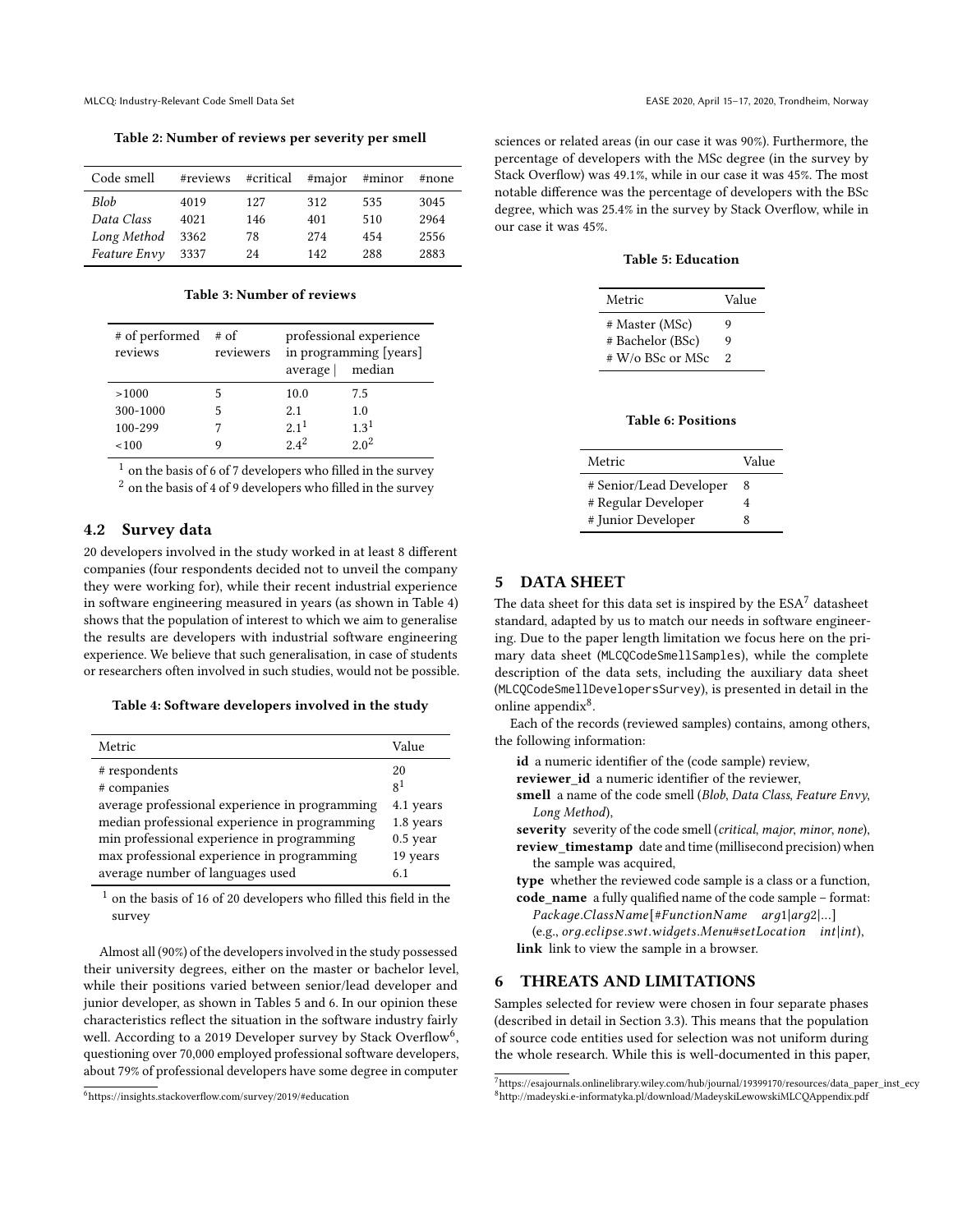Table 2: Number of reviews per severity per smell

| Code smell   | #reviews | #critical | #major | #minor | #none |
|--------------|----------|-----------|--------|--------|-------|
| <b>Blob</b>  | 4019     | 127       | 312    | 535    | 3045  |
| Data Class   | 4021     | 146       | 401    | 510    | 2964  |
| Long Method  | 3362     | 78        | 274    | 454    | 2556  |
| Feature Envy | 3337     | 24        | 142    | 288    | 2883  |

Table 3: Number of reviews

| # of performed<br>reviews | # of<br>reviewers | average          | professional experience<br>in programming [years]<br>median |
|---------------------------|-------------------|------------------|-------------------------------------------------------------|
| >1000                     |                   | 10.0             | 7.5                                                         |
| 300-1000                  |                   | 2.1              | 1.0                                                         |
| 100-299                   |                   | 2.1 <sup>1</sup> | 1.3 <sup>1</sup>                                            |
| 100                       |                   | $2.4^2$          | $2.0^2$                                                     |

 $1$  on the basis of 6 of 7 developers who filled in the survey  $^{\rm 2}$  on the basis of 4 of 9 developers who filled in the survey

## 4.2 Survey data

20 developers involved in the study worked in at least 8 different companies (four respondents decided not to unveil the company they were working for), while their recent industrial experience in software engineering measured in years (as shown in Table 4) shows that the population of interest to which we aim to generalise the results are developers with industrial software engineering experience. We believe that such generalisation, in case of students or researchers often involved in such studies, would not be possible.

#### Table 4: Software developers involved in the study

| Metric                                                                                                                                                                                                                                                          | Value                                                                           |
|-----------------------------------------------------------------------------------------------------------------------------------------------------------------------------------------------------------------------------------------------------------------|---------------------------------------------------------------------------------|
| # respondents<br># companies<br>average professional experience in programming<br>median professional experience in programming<br>min professional experience in programming<br>max professional experience in programming<br>average number of languages used | 20<br>8 <sup>1</sup><br>4.1 years<br>1.8 years<br>$0.5$ year<br>19 years<br>6.1 |
|                                                                                                                                                                                                                                                                 |                                                                                 |

 $^{\rm 1}$  on the basis of 16 of 20 developers who filled this field in the survey

Almost all (90%) of the developers involved in the study possessed their university degrees, either on the master or bachelor level, while their positions varied between senior/lead developer and junior developer, as shown in Tables 5 and 6. In our opinion these characteristics reflect the situation in the software industry fairly well. According to a 2019 Developer survey by Stack Overflow<sup>6</sup>, questioning over 70,000 employed professional software developers, about 79% of professional developers have some degree in computer

sciences or related areas (in our case it was 90%). Furthermore, the percentage of developers with the MSc degree (in the survey by Stack Overflow) was 49.1%, while in our case it was 45%. The most notable difference was the percentage of developers with the BSc degree, which was 25.4% in the survey by Stack Overflow, while in our case it was 45%.

Table 5: Education

| Metric           | Value |
|------------------|-------|
| # Master (MSc)   | 9     |
| # Bachelor (BSc) | 9     |
| # W/o BSc or MSc | 2     |

Table 6: Positions

| Metric                  | Value |
|-------------------------|-------|
| # Senior/Lead Developer | 8     |
| # Regular Developer     | 4     |
| # Junior Developer      | 8     |

# 5 DATA SHEET

The data sheet for this data set is inspired by the  $ESA<sup>7</sup>$  datasheet standard, adapted by us to match our needs in software engineering. Due to the paper length limitation we focus here on the primary data sheet (MLCQCodeSmellSamples), while the complete description of the data sets, including the auxiliary data sheet (MLCQCodeSmellDevelopersSurvey), is presented in detail in the online appendix<sup>8</sup>.

Each of the records (reviewed samples) contains, among others, the following information:

id a numeric identifier of the (code sample) review,

reviewer\_id a numeric identifier of the reviewer,

- smell a name of the code smell (Blob, Data Class, Feature Envy, Long Method),
- severity severity of the code smell (critical, major, minor, none), review timestamp date and time (millisecond precision) when the sample was acquired,
- type whether the reviewed code sample is a class or a function, code\_name a fully qualified name of the code sample – format:

Package.ClassName[#FunctionName arg1|arg2|...]

 $(e.g., org.eclipse.swt.widgets.Menu#setLocation int(int),$ link link to view the sample in a browser.

#### 6 THREATS AND LIMITATIONS

Samples selected for review were chosen in four separate phases (described in detail in Section 3.3). This means that the population of source code entities used for selection was not uniform during the whole research. While this is well-documented in this paper,

<sup>6</sup><https://insights.stackoverflow.com/survey/2019/#education>

<sup>7</sup>[https://esajournals.onlinelibrary.wiley.com/hub/journal/19399170/resources/data\\_paper\\_inst\\_ecy](https://esajournals.onlinelibrary.wiley.com/hub/journal/19399170/resources/data_paper_inst_ecy) <sup>8</sup><http://madeyski.e-informatyka.pl/download/MadeyskiLewowskiMLCQAppendix.pdf>